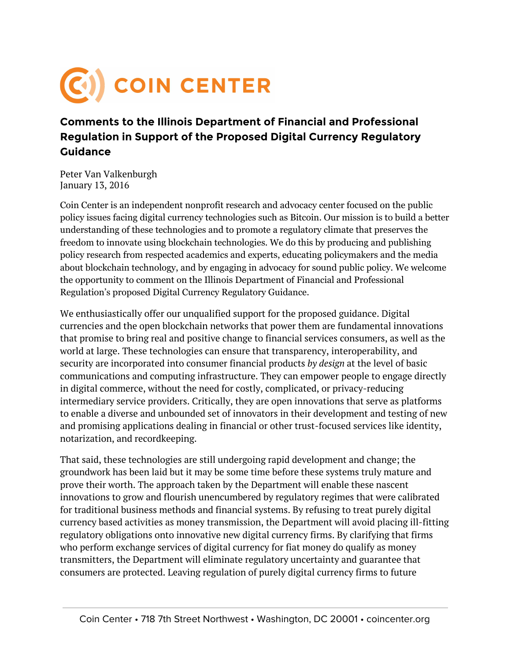## COIN CENTER

## **Comments to the Illinois Department of Financial and Professional Regulation in Support of the Proposed Digital Currency Regulatory Guidance**

Peter Van Valkenburgh January 13, 2016

Coin Center is an independent nonprofit research and advocacy center focused on the public policy issues facing digital currency technologies such as Bitcoin. Our mission is to build a better understanding of these technologies and to promote a regulatory climate that preserves the freedom to innovate using blockchain technologies. We do this by producing and publishing policy research from respected academics and experts, educating policymakers and the media about blockchain technology, and by engaging in advocacy for sound public policy. We welcome the opportunity to comment on the Illinois Department of Financial and Professional Regulation's proposed Digital Currency Regulatory Guidance.

We enthusiastically offer our unqualified support for the proposed guidance. Digital currencies and the open blockchain networks that power them are fundamental innovations that promise to bring real and positive change to financial services consumers, as well as the world at large. These technologies can ensure that transparency, interoperability, and security are incorporated into consumer financial products *by design* at the level of basic communications and computing infrastructure. They can empower people to engage directly in digital commerce, without the need for costly, complicated, or privacy-reducing intermediary service providers. Critically, they are open innovations that serve as platforms to enable a diverse and unbounded set of innovators in their development and testing of new and promising applications dealing in financial or other trust-focused services like identity, notarization, and recordkeeping.

That said, these technologies are still undergoing rapid development and change; the groundwork has been laid but it may be some time before these systems truly mature and prove their worth. The approach taken by the Department will enable these nascent innovations to grow and flourish unencumbered by regulatory regimes that were calibrated for traditional business methods and financial systems. By refusing to treat purely digital currency based activities as money transmission, the Department will avoid placing ill-fitting regulatory obligations onto innovative new digital currency firms. By clarifying that firms who perform exchange services of digital currency for fiat money do qualify as money transmitters, the Department will eliminate regulatory uncertainty and guarantee that consumers are protected. Leaving regulation of purely digital currency firms to future